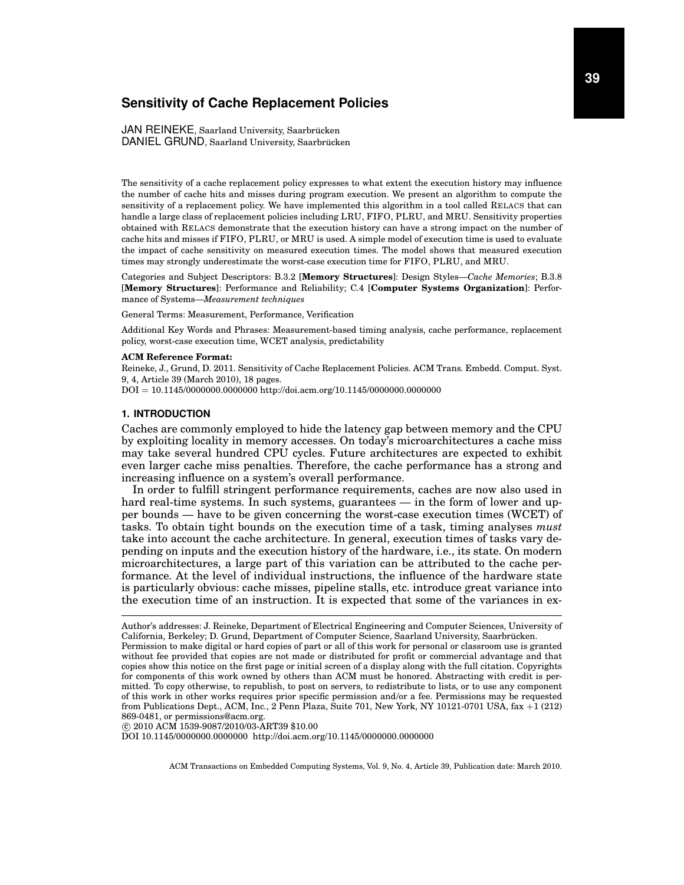JAN REINEKE, Saarland University, Saarbrücken DANIEL GRUND, Saarland University, Saarbrücken

The sensitivity of a cache replacement policy expresses to what extent the execution history may influence the number of cache hits and misses during program execution. We present an algorithm to compute the sensitivity of a replacement policy. We have implemented this algorithm in a tool called RELACS that can handle a large class of replacement policies including LRU, FIFO, PLRU, and MRU. Sensitivity properties obtained with RELACS demonstrate that the execution history can have a strong impact on the number of cache hits and misses if FIFO, PLRU, or MRU is used. A simple model of execution time is used to evaluate the impact of cache sensitivity on measured execution times. The model shows that measured execution times may strongly underestimate the worst-case execution time for FIFO, PLRU, and MRU.

Categories and Subject Descriptors: B.3.2 [**Memory Structures**]: Design Styles—*Cache Memories*; B.3.8 [**Memory Structures**]: Performance and Reliability; C.4 [**Computer Systems Organization**]: Performance of Systems—*Measurement techniques*

General Terms: Measurement, Performance, Verification

Additional Key Words and Phrases: Measurement-based timing analysis, cache performance, replacement policy, worst-case execution time, WCET analysis, predictability

#### **ACM Reference Format:**

Reineke, J., Grund, D. 2011. Sensitivity of Cache Replacement Policies. ACM Trans. Embedd. Comput. Syst. 9, 4, Article 39 (March 2010), 18 pages.

DOI = 10.1145/0000000.0000000 http://doi.acm.org/10.1145/0000000.0000000

### **1. INTRODUCTION**

Caches are commonly employed to hide the latency gap between memory and the CPU by exploiting locality in memory accesses. On today's microarchitectures a cache miss may take several hundred CPU cycles. Future architectures are expected to exhibit even larger cache miss penalties. Therefore, the cache performance has a strong and increasing influence on a system's overall performance.

In order to fulfill stringent performance requirements, caches are now also used in hard real-time systems. In such systems, guarantees — in the form of lower and upper bounds — have to be given concerning the worst-case execution times (WCET) of tasks. To obtain tight bounds on the execution time of a task, timing analyses *must* take into account the cache architecture. In general, execution times of tasks vary depending on inputs and the execution history of the hardware, i.e., its state. On modern microarchitectures, a large part of this variation can be attributed to the cache performance. At the level of individual instructions, the influence of the hardware state is particularly obvious: cache misses, pipeline stalls, etc. introduce great variance into the execution time of an instruction. It is expected that some of the variances in ex-

c 2010 ACM 1539-9087/2010/03-ART39 \$10.00

DOI 10.1145/0000000.0000000 http://doi.acm.org/10.1145/0000000.0000000

Author's addresses: J. Reineke, Department of Electrical Engineering and Computer Sciences, University of California, Berkeley; D. Grund, Department of Computer Science, Saarland University, Saarbrücken.

Permission to make digital or hard copies of part or all of this work for personal or classroom use is granted without fee provided that copies are not made or distributed for profit or commercial advantage and that copies show this notice on the first page or initial screen of a display along with the full citation. Copyrights for components of this work owned by others than ACM must be honored. Abstracting with credit is permitted. To copy otherwise, to republish, to post on servers, to redistribute to lists, or to use any component of this work in other works requires prior specific permission and/or a fee. Permissions may be requested from Publications Dept., ACM, Inc., 2 Penn Plaza, Suite 701, New York, NY 10121-0701 USA, fax +1 (212) 869-0481, or permissions@acm.org.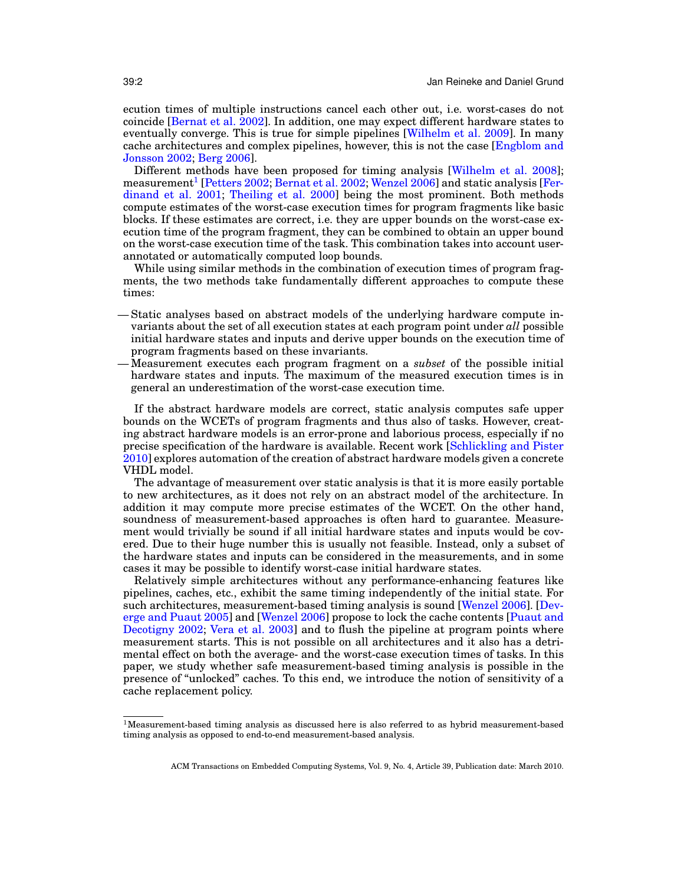ecution times of multiple instructions cancel each other out, i.e. worst-cases do not coincide [\[Bernat et al. 2002\]](#page-16-0). In addition, one may expect different hardware states to eventually converge. This is true for simple pipelines [\[Wilhelm et al. 2009\]](#page-17-0). In many cache architectures and complex pipelines, however, this is not the case [\[Engblom and](#page-16-1) [Jonsson 2002;](#page-16-1) [Berg 2006\]](#page-16-2).

Different methods have been proposed for timing analysis [\[Wilhelm et al. 2008\]](#page-17-1); measurement<sup>[1](#page-1-0)</sup> [\[Petters 2002;](#page-16-3) [Bernat et al. 2002;](#page-16-0) [Wenzel 2006\]](#page-17-2) and static analysis [\[Fer](#page-16-4)[dinand et al. 2001;](#page-16-4) [Theiling et al. 2000\]](#page-17-3) being the most prominent. Both methods compute estimates of the worst-case execution times for program fragments like basic blocks. If these estimates are correct, i.e. they are upper bounds on the worst-case execution time of the program fragment, they can be combined to obtain an upper bound on the worst-case execution time of the task. This combination takes into account userannotated or automatically computed loop bounds.

While using similar methods in the combination of execution times of program fragments, the two methods take fundamentally different approaches to compute these times:

- Static analyses based on abstract models of the underlying hardware compute invariants about the set of all execution states at each program point under *all* possible initial hardware states and inputs and derive upper bounds on the execution time of program fragments based on these invariants.
- Measurement executes each program fragment on a *subset* of the possible initial hardware states and inputs. The maximum of the measured execution times is in general an underestimation of the worst-case execution time.

If the abstract hardware models are correct, static analysis computes safe upper bounds on the WCETs of program fragments and thus also of tasks. However, creating abstract hardware models is an error-prone and laborious process, especially if no precise specification of the hardware is available. Recent work [\[Schlickling and Pister](#page-17-4) [2010\]](#page-17-4) explores automation of the creation of abstract hardware models given a concrete VHDL model.

The advantage of measurement over static analysis is that it is more easily portable to new architectures, as it does not rely on an abstract model of the architecture. In addition it may compute more precise estimates of the WCET. On the other hand, soundness of measurement-based approaches is often hard to guarantee. Measurement would trivially be sound if all initial hardware states and inputs would be covered. Due to their huge number this is usually not feasible. Instead, only a subset of the hardware states and inputs can be considered in the measurements, and in some cases it may be possible to identify worst-case initial hardware states.

Relatively simple architectures without any performance-enhancing features like pipelines, caches, etc., exhibit the same timing independently of the initial state. For such architectures, measurement-based timing analysis is sound [\[Wenzel 2006\]](#page-17-2). [\[Dev](#page-16-5)[erge and Puaut 2005\]](#page-16-5) and [\[Wenzel 2006\]](#page-17-2) propose to lock the cache contents [\[Puaut and](#page-16-6) [Decotigny 2002;](#page-16-6) [Vera et al. 2003\]](#page-17-5) and to flush the pipeline at program points where measurement starts. This is not possible on all architectures and it also has a detrimental effect on both the average- and the worst-case execution times of tasks. In this paper, we study whether safe measurement-based timing analysis is possible in the presence of "unlocked" caches. To this end, we introduce the notion of sensitivity of a cache replacement policy.

<span id="page-1-0"></span> $1$ Measurement-based timing analysis as discussed here is also referred to as hybrid measurement-based timing analysis as opposed to end-to-end measurement-based analysis.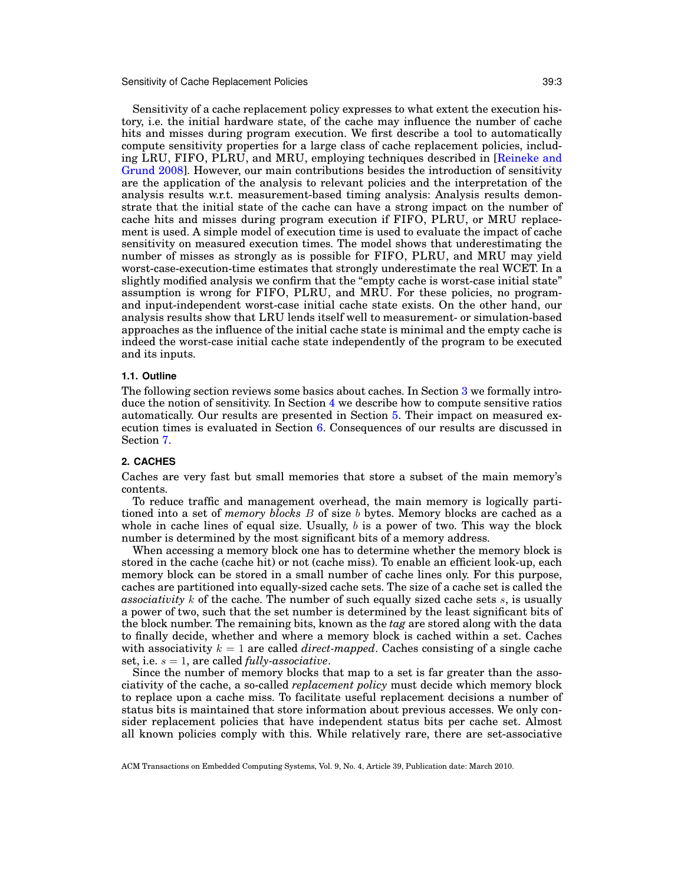Sensitivity of a cache replacement policy expresses to what extent the execution history, i.e. the initial hardware state, of the cache may influence the number of cache hits and misses during program execution. We first describe a tool to automatically compute sensitivity properties for a large class of cache replacement policies, including LRU, FIFO, PLRU, and MRU, employing techniques described in [\[Reineke and](#page-16-7) [Grund 2008\]](#page-16-7). However, our main contributions besides the introduction of sensitivity are the application of the analysis to relevant policies and the interpretation of the analysis results w.r.t. measurement-based timing analysis: Analysis results demonstrate that the initial state of the cache can have a strong impact on the number of cache hits and misses during program execution if FIFO, PLRU, or MRU replacement is used. A simple model of execution time is used to evaluate the impact of cache sensitivity on measured execution times. The model shows that underestimating the number of misses as strongly as is possible for FIFO, PLRU, and MRU may yield worst-case-execution-time estimates that strongly underestimate the real WCET. In a slightly modified analysis we confirm that the "empty cache is worst-case initial state" assumption is wrong for FIFO, PLRU, and MRU. For these policies, no programand input-independent worst-case initial cache state exists. On the other hand, our analysis results show that LRU lends itself well to measurement- or simulation-based approaches as the influence of the initial cache state is minimal and the empty cache is indeed the worst-case initial cache state independently of the program to be executed and its inputs.

# **1.1. Outline**

The following section reviews some basics about caches. In Section [3](#page-4-0) we formally introduce the notion of sensitivity. In Section [4](#page-5-0) we describe how to compute sensitive ratios automatically. Our results are presented in Section [5.](#page-12-0) Their impact on measured execution times is evaluated in Section [6.](#page-14-0) Consequences of our results are discussed in Section [7.](#page-15-0)

# **2. CACHES**

Caches are very fast but small memories that store a subset of the main memory's contents.

To reduce traffic and management overhead, the main memory is logically partitioned into a set of *memory blocks* B of size b bytes. Memory blocks are cached as a whole in cache lines of equal size. Usually,  $b$  is a power of two. This way the block number is determined by the most significant bits of a memory address.

When accessing a memory block one has to determine whether the memory block is stored in the cache (cache hit) or not (cache miss). To enable an efficient look-up, each memory block can be stored in a small number of cache lines only. For this purpose, caches are partitioned into equally-sized cache sets. The size of a cache set is called the *associativity* k of the cache. The number of such equally sized cache sets s, is usually a power of two, such that the set number is determined by the least significant bits of the block number. The remaining bits, known as the *tag* are stored along with the data to finally decide, whether and where a memory block is cached within a set. Caches with associativity  $k = 1$  are called *direct-mapped*. Caches consisting of a single cache set, i.e. s = 1, are called *fully-associative*.

Since the number of memory blocks that map to a set is far greater than the associativity of the cache, a so-called *replacement policy* must decide which memory block to replace upon a cache miss. To facilitate useful replacement decisions a number of status bits is maintained that store information about previous accesses. We only consider replacement policies that have independent status bits per cache set. Almost all known policies comply with this. While relatively rare, there are set-associative

ACM Transactions on Embedded Computing Systems, Vol. 9, No. 4, Article 39, Publication date: March 2010.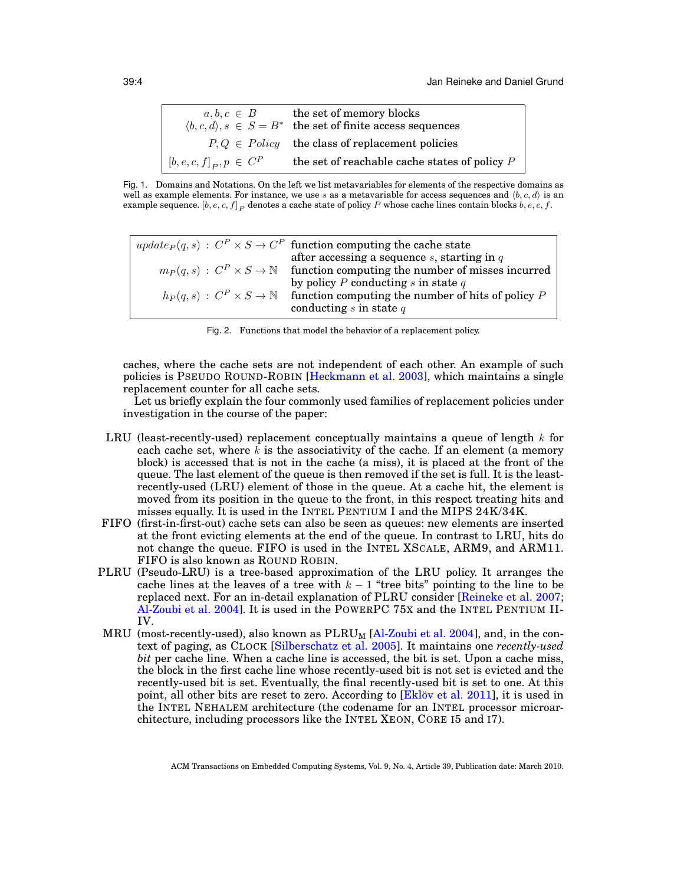| $a, b, c \in B$             | the set of memory blocks<br>$\langle b, c, d \rangle$ , $s \in S = B^*$ the set of finite access sequences |
|-----------------------------|------------------------------------------------------------------------------------------------------------|
|                             | $P,Q \in Policy$ the class of replacement policies                                                         |
| $[b, e, c, f]_P, p \in C^P$ | the set of reachable cache states of policy $P$                                                            |

<span id="page-3-0"></span>Fig. 1. Domains and Notations. On the left we list metavariables for elements of the respective domains as well as example elements. For instance, we use s as a metavariable for access sequences and  $\langle b, c, d \rangle$  is an example sequence.  $[b, e, c, f]_P$  denotes a cache state of policy  $P$  whose cache lines contain blocks  $b, e, c, f$ .

| $update_P(q, s) : C^P \times S \rightarrow C^P$ function computing the cache state        |
|-------------------------------------------------------------------------------------------|
| after accessing a sequence $s$ , starting in $q$                                          |
| $m_P(q,s): C^P \times S \to \mathbb{N}$ function computing the number of misses incurred  |
| by policy P conducting $s$ in state $q$                                                   |
| $h_P(q,s): C^P \times S \to \mathbb{N}$ function computing the number of hits of policy P |
| conducting $s$ in state $q$                                                               |

<span id="page-3-1"></span>Fig. 2. Functions that model the behavior of a replacement policy.

caches, where the cache sets are not independent of each other. An example of such policies is PSEUDO ROUND-ROBIN [\[Heckmann et al. 2003\]](#page-16-8), which maintains a single replacement counter for all cache sets.

Let us briefly explain the four commonly used families of replacement policies under investigation in the course of the paper:

- LRU (least-recently-used) replacement conceptually maintains a queue of length k for each cache set, where  $k$  is the associativity of the cache. If an element (a memory block) is accessed that is not in the cache (a miss), it is placed at the front of the queue. The last element of the queue is then removed if the set is full. It is the leastrecently-used (LRU) element of those in the queue. At a cache hit, the element is moved from its position in the queue to the front, in this respect treating hits and misses equally. It is used in the INTEL PENTIUM I and the MIPS 24K/34K.
- FIFO (first-in-first-out) cache sets can also be seen as queues: new elements are inserted at the front evicting elements at the end of the queue. In contrast to LRU, hits do not change the queue. FIFO is used in the INTEL XSCALE, ARM9, and ARM11. FIFO is also known as ROUND ROBIN.
- PLRU (Pseudo-LRU) is a tree-based approximation of the LRU policy. It arranges the cache lines at the leaves of a tree with  $k - 1$  "tree bits" pointing to the line to be replaced next. For an in-detail explanation of PLRU consider [\[Reineke et al. 2007;](#page-16-9) [Al-Zoubi et al. 2004\]](#page-16-10). It is used in the POWERPC 75X and the INTEL PENTIUM II-IV.
- MRU (most-recently-used), also known as  $PLRU_M$  [\[Al-Zoubi et al. 2004\]](#page-16-10), and, in the context of paging, as CLOCK [\[Silberschatz et al. 2005\]](#page-17-6). It maintains one *recently-used bit* per cache line. When a cache line is accessed, the bit is set. Upon a cache miss, the block in the first cache line whose recently-used bit is not set is evicted and the recently-used bit is set. Eventually, the final recently-used bit is set to one. At this point, all other bits are reset to zero. According to [Eklöv et al. 2011], it is used in the INTEL NEHALEM architecture (the codename for an INTEL processor microarchitecture, including processors like the INTEL XEON, CORE I5 and I7).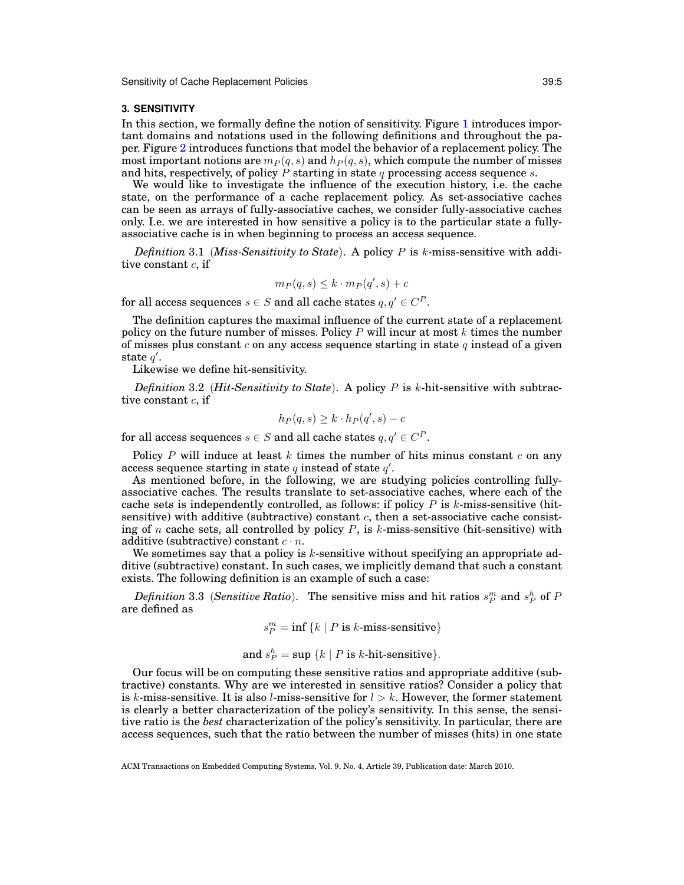### <span id="page-4-0"></span>**3. SENSITIVITY**

In this section, we formally define the notion of sensitivity. Figure [1](#page-3-0) introduces important domains and notations used in the following definitions and throughout the paper. Figure [2](#page-3-1) introduces functions that model the behavior of a replacement policy. The most important notions are  $m_P(q, s)$  and  $h_P(q, s)$ , which compute the number of misses and hits, respectively, of policy  $P$  starting in state  $q$  processing access sequence  $s$ .

We would like to investigate the influence of the execution history, i.e. the cache state, on the performance of a cache replacement policy. As set-associative caches can be seen as arrays of fully-associative caches, we consider fully-associative caches only. I.e. we are interested in how sensitive a policy is to the particular state a fullyassociative cache is in when beginning to process an access sequence.

*Definition* 3.1 (*Miss-Sensitivity to State*). A policy P is k-miss-sensitive with additive constant  $c$ , if

$$
m_P(q,s) \le k \cdot m_P(q',s) + c
$$

for all access sequences  $s \in S$  and all cache states  $q, q' \in C^P.$ 

The definition captures the maximal influence of the current state of a replacement policy on the future number of misses. Policy  $P$  will incur at most  $k$  times the number of misses plus constant c on any access sequence starting in state q instead of a given state  $q'$ .

Likewise we define hit-sensitivity.

*Definition* 3.2 (*Hit-Sensitivity to State*). A policy P is k-hit-sensitive with subtractive constant  $c$ , if

$$
h_P(q,s) \ge k \cdot h_P(q',s) - c
$$

for all access sequences  $s \in S$  and all cache states  $q, q' \in C^P$ .

Policy P will induce at least k times the number of hits minus constant  $c$  on any access sequence starting in state  $q$  instead of state  $q'$ .

As mentioned before, in the following, we are studying policies controlling fullyassociative caches. The results translate to set-associative caches, where each of the cache sets is independently controlled, as follows: if policy  $P$  is  $k$ -miss-sensitive (hitsensitive) with additive (subtractive) constant  $c$ , then a set-associative cache consisting of n cache sets, all controlled by policy  $P$ , is k-miss-sensitive (hit-sensitive) with additive (subtractive) constant  $c \cdot n$ .

We sometimes say that a policy is k-sensitive without specifying an appropriate additive (subtractive) constant. In such cases, we implicitly demand that such a constant exists. The following definition is an example of such a case:

 $\emph{Definition 3.3} \thinspace \thinspace (\emph{Sensitive Ratio}).$  The sensitive miss and hit ratios  $\emph{s}_{P}^{m}$  and  $\emph{s}_{P}^{h}$  of  $P$ are defined as

 $s_P^m = \inf \{ k \mid P \text{ is } k\text{-miss-sensitive} \}$ 

and 
$$
s_P^h = \sup \{ k \mid P \text{ is } k\text{-hit-sensitive} \}.
$$

Our focus will be on computing these sensitive ratios and appropriate additive (subtractive) constants. Why are we interested in sensitive ratios? Consider a policy that is k-miss-sensitive. It is also l-miss-sensitive for  $l > k$ . However, the former statement is clearly a better characterization of the policy's sensitivity. In this sense, the sensitive ratio is the *best* characterization of the policy's sensitivity. In particular, there are access sequences, such that the ratio between the number of misses (hits) in one state

ACM Transactions on Embedded Computing Systems, Vol. 9, No. 4, Article 39, Publication date: March 2010.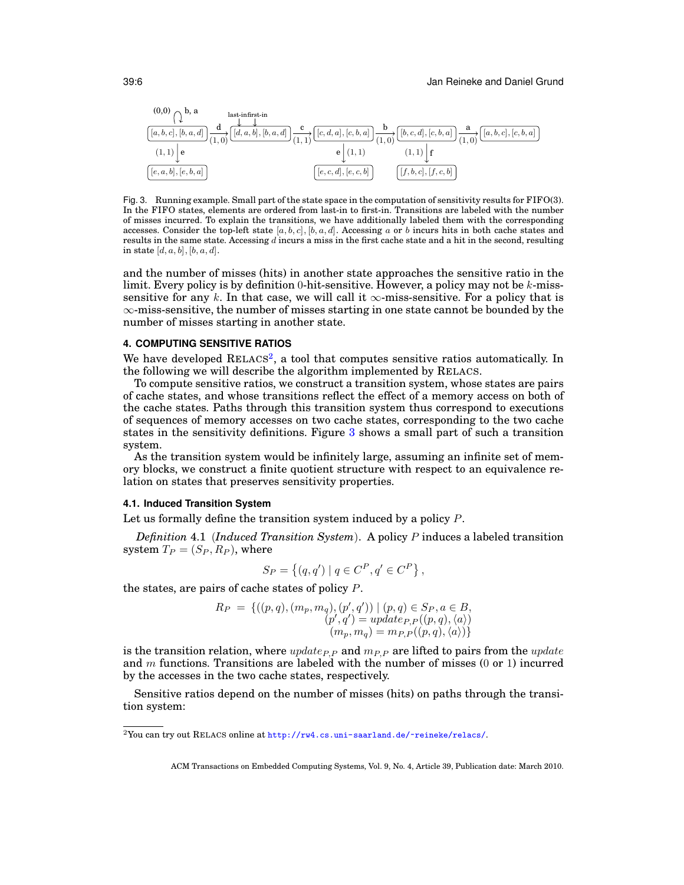

<span id="page-5-2"></span>Fig. 3. Running example. Small part of the state space in the computation of sensitivity results for FIFO(3). In the FIFO states, elements are ordered from last-in to first-in. Transitions are labeled with the number of misses incurred. To explain the transitions, we have additionally labeled them with the corresponding accesses. Consider the top-left state [a, b, c], [b, a, d]. Accessing a or b incurs hits in both cache states and results in the same state. Accessing  $d$  incurs a miss in the first cache state and a hit in the second, resulting in state  $[d, a, b]$ ,  $[b, a, d]$ .

and the number of misses (hits) in another state approaches the sensitive ratio in the limit. Every policy is by definition 0-hit-sensitive. However, a policy may not be  $k$ -misssensitive for any k. In that case, we will call it  $\infty$ -miss-sensitive. For a policy that is  $\infty$ -miss-sensitive, the number of misses starting in one state cannot be bounded by the number of misses starting in another state.

### <span id="page-5-0"></span>**4. COMPUTING SENSITIVE RATIOS**

We have developed RELACS<sup>[2](#page-5-1)</sup>, a tool that computes sensitive ratios automatically. In the following we will describe the algorithm implemented by RELACS.

To compute sensitive ratios, we construct a transition system, whose states are pairs of cache states, and whose transitions reflect the effect of a memory access on both of the cache states. Paths through this transition system thus correspond to executions of sequences of memory accesses on two cache states, corresponding to the two cache states in the sensitivity definitions. Figure [3](#page-5-2) shows a small part of such a transition system.

As the transition system would be infinitely large, assuming an infinite set of memory blocks, we construct a finite quotient structure with respect to an equivalence relation on states that preserves sensitivity properties.

## **4.1. Induced Transition System**

Let us formally define the transition system induced by a policy P.

*Definition* 4.1 (*Induced Transition System*). A policy P induces a labeled transition system  $T_P = (S_P, R_P)$ , where

$$
S_P = \{(q, q') \mid q \in C^P, q' \in C^P\},\
$$

the states, are pairs of cache states of policy P.

$$
R_P = \{ ((p, q), (m_p, m_q), (p', q')) \mid (p, q) \in S_P, a \in B, (p', q') = update_{P,P}((p, q), \langle a \rangle) (m_p, m_q) = m_{P,P}((p, q), \langle a \rangle) \}
$$

is the transition relation, where  $update_{PP}$  and  $m_{PP}$  are lifted to pairs from the update and  $m$  functions. Transitions are labeled with the number of misses  $(0 \text{ or } 1)$  incurred by the accesses in the two cache states, respectively.

Sensitive ratios depend on the number of misses (hits) on paths through the transition system:

<span id="page-5-1"></span><sup>&</sup>lt;sup>2</sup>You can try out RELACS online at  $\frac{http://rw4.cs.uni-saarland.de/~reineke/relacs/.}$  $\frac{http://rw4.cs.uni-saarland.de/~reineke/relacs/.}$  $\frac{http://rw4.cs.uni-saarland.de/~reineke/relacs/.}$ 

ACM Transactions on Embedded Computing Systems, Vol. 9, No. 4, Article 39, Publication date: March 2010.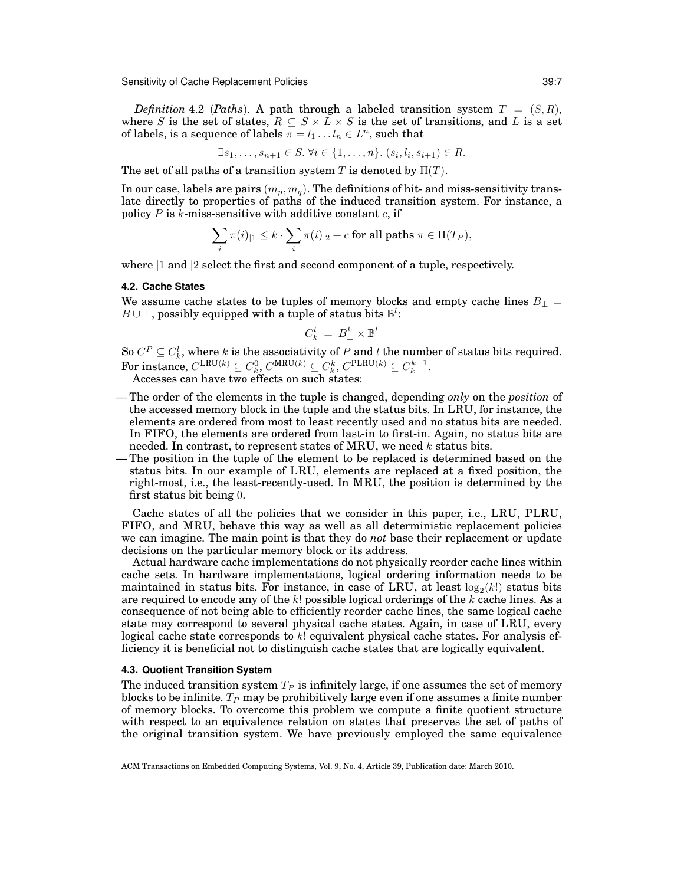*Definition* 4.2 (*Paths*). A path through a labeled transition system  $T = (S, R)$ , where S is the set of states,  $R \subseteq S \times L \times S$  is the set of transitions, and L is a set of labels, is a sequence of labels  $\pi = l_1 \dots l_n \in L^n$ , such that

$$
\exists s_1, \dots, s_{n+1} \in S. \ \forall i \in \{1, \dots, n\}. \ (s_i, l_i, s_{i+1}) \in R.
$$

The set of all paths of a transition system T is denoted by  $\Pi(T)$ .

In our case, labels are pairs  $(m_p, m_q)$ . The definitions of hit- and miss-sensitivity translate directly to properties of paths of the induced transition system. For instance, a policy  $P$  is  $k$ -miss-sensitive with additive constant  $c$ , if

$$
\sum_i \pi(i)_{|1} \leq k \cdot \sum_i \pi(i)_{|2} + c \text{ for all paths } \pi \in \Pi(T_P),
$$

where |1 and |2 select the first and second component of a tuple, respectively.

#### **4.2. Cache States**

We assume cache states to be tuples of memory blocks and empty cache lines  $B_{\perp} =$  $B\cup\bot$ , possibly equipped with a tuple of status bits  $\mathbb{B}^l$ :

$$
C_k^l\ =\ B_\bot^k\times\mathbb{B}^l
$$

So  $C^P \subseteq C^l_k,$  where  $k$  is the associativity of  $P$  and  $l$  the number of status bits required.  $\text{For instance, } C^{\text{LRU}(k)} \subseteq C^0_k, C^{\text{MRU}(k)} \subseteq C^k_k, C^{\text{PLRU}(k)} \subseteq C^{k-1}_k.$ 

Accesses can have two effects on such states:

- The order of the elements in the tuple is changed, depending *only* on the *position* of the accessed memory block in the tuple and the status bits. In LRU, for instance, the elements are ordered from most to least recently used and no status bits are needed. In FIFO, the elements are ordered from last-in to first-in. Again, no status bits are needed. In contrast, to represent states of MRU, we need  $k$  status bits.
- The position in the tuple of the element to be replaced is determined based on the status bits. In our example of LRU, elements are replaced at a fixed position, the right-most, i.e., the least-recently-used. In MRU, the position is determined by the first status bit being 0.

Cache states of all the policies that we consider in this paper, i.e., LRU, PLRU, FIFO, and MRU, behave this way as well as all deterministic replacement policies we can imagine. The main point is that they do *not* base their replacement or update decisions on the particular memory block or its address.

Actual hardware cache implementations do not physically reorder cache lines within cache sets. In hardware implementations, logical ordering information needs to be maintained in status bits. For instance, in case of LRU, at least  $\log_2(k!)$  status bits are required to encode any of the  $k!$  possible logical orderings of the  $k$  cache lines. As a consequence of not being able to efficiently reorder cache lines, the same logical cache state may correspond to several physical cache states. Again, in case of LRU, every logical cache state corresponds to  $k!$  equivalent physical cache states. For analysis efficiency it is beneficial not to distinguish cache states that are logically equivalent.

## **4.3. Quotient Transition System**

The induced transition system  $T_P$  is infinitely large, if one assumes the set of memory blocks to be infinite.  $T_P$  may be prohibitively large even if one assumes a finite number of memory blocks. To overcome this problem we compute a finite quotient structure with respect to an equivalence relation on states that preserves the set of paths of the original transition system. We have previously employed the same equivalence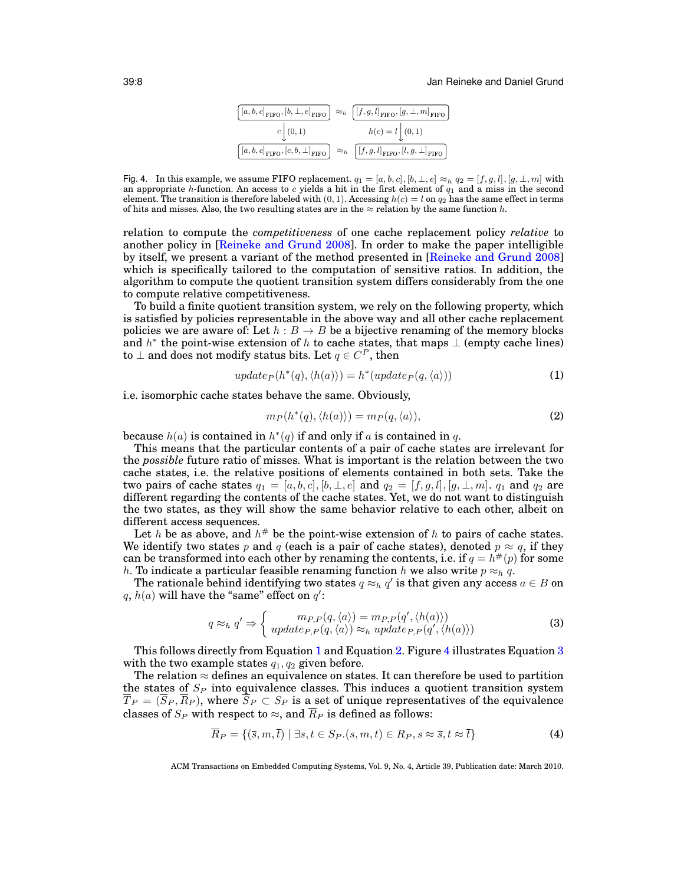| $\left[\left[a,b,c\right]_{\text{FIFO}},\left[b,\perp,e\right]_{\text{FIFO}}\right]\approx_h \left[\left[f,g,l\right]_{\text{FIFO}},\left[g,\perp,m\right]_{\text{FIFO}}\right]$                           |                    |
|------------------------------------------------------------------------------------------------------------------------------------------------------------------------------------------------------------|--------------------|
| c (0,1)                                                                                                                                                                                                    | $h(c) = l   (0,1)$ |
| $\left\lbrack\left[a,b,c\right]_{\text{FIFO}},\left[c,b,\perp\right]_{\text{FIFO}}\right]\; \approx_{h} \; \left\lbrack\left[f,g,l\right]_{\text{FIFO}},\left[l,g,\perp\right]_{\text{FIFO}}\right\rbrack$ |                    |

<span id="page-7-2"></span>Fig. 4. In this example, we assume FIFO replacement.  $q_1 = [a, b, c]$ ,  $[b, \perp, e] \approx_h q_2 = [f, g, l]$ ,  $[g, \perp, m]$  with an appropriate h-function. An access to c yields a hit in the first element of  $q_1$  and a miss in the second element. The transition is therefore labeled with  $(0, 1)$ . Accessing  $h(c) = l$  on  $q_2$  has the same effect in terms of hits and misses. Also, the two resulting states are in the  $\approx$  relation by the same function h.

relation to compute the *competitiveness* of one cache replacement policy *relative* to another policy in [\[Reineke and Grund 2008\]](#page-16-7). In order to make the paper intelligible by itself, we present a variant of the method presented in [\[Reineke and Grund 2008\]](#page-16-7) which is specifically tailored to the computation of sensitive ratios. In addition, the algorithm to compute the quotient transition system differs considerably from the one to compute relative competitiveness.

To build a finite quotient transition system, we rely on the following property, which is satisfied by policies representable in the above way and all other cache replacement policies we are aware of: Let  $h : B \to B$  be a bijective renaming of the memory blocks and  $h^*$  the point-wise extension of h to cache states, that maps  $\bot$  (empty cache lines) to  $\bot$  and does not modify status bits. Let  $q\in C^P,$  then

<span id="page-7-0"></span>
$$
update_P(h^*(q), \langle h(a) \rangle) = h^*(update_P(q, \langle a \rangle))
$$
\n(1)

i.e. isomorphic cache states behave the same. Obviously,

<span id="page-7-1"></span>
$$
m_P(h^*(q), \langle h(a) \rangle) = m_P(q, \langle a \rangle), \tag{2}
$$

because  $h(a)$  is contained in  $h^*(q)$  if and only if a is contained in q.

This means that the particular contents of a pair of cache states are irrelevant for the *possible* future ratio of misses. What is important is the relation between the two cache states, i.e. the relative positions of elements contained in both sets. Take the two pairs of cache states  $q_1 = [a, b, c], [b, \perp, e]$  and  $q_2 = [f, g, l], [g, \perp, m], q_1$  and  $q_2$  are different regarding the contents of the cache states. Yet, we do not want to distinguish the two states, as they will show the same behavior relative to each other, albeit on different access sequences.

Let h be as above, and  $h^{\#}$  be the point-wise extension of h to pairs of cache states. We identify two states p and q (each is a pair of cache states), denoted  $p \approx q$ , if they can be transformed into each other by renaming the contents, i.e. if  $q = h^{\#}(p)$  for some h. To indicate a particular feasible renaming function h we also write  $p \approx_h q$ .

The rationale behind identifying two states  $q \approx_h q'$  is that given any access  $a \in B$  on  $q, h(a)$  will have the "same" effect on  $q'$ :

<span id="page-7-3"></span>
$$
q \approx_h q' \Rightarrow \begin{cases} m_{P,P}(q, \langle a \rangle) = m_{P,P}(q', \langle h(a) \rangle) \\ update_{P,P}(q, \langle a \rangle) \approx_h update_{P,P}(q', \langle h(a) \rangle) \end{cases}
$$
(3)

This follows directly from Equation [1](#page-7-0) and Equation [2.](#page-7-1) Figure [4](#page-7-2) illustrates Equation [3](#page-7-3) with the two example states  $q_1, q_2$  given before.

The relation  $\approx$  defines an equivalence on states. It can therefore be used to partition the states of  $S_P$  into equivalence classes. This induces a quotient transition system  $\overline{T}_P = (\overline{S}_P, \overline{R}_P)$ , where  $\overline{S}_P \subset S_P$  is a set of unique representatives of the equivalence classes of  $S_P$  with respect to  $\approx$ , and  $\overline{R}_P$  is defined as follows:

<span id="page-7-4"></span>
$$
\overline{R}_P = \{ (\overline{s}, m, \overline{t}) \mid \exists s, t \in S_P . (s, m, t) \in R_P, s \approx \overline{s}, t \approx \overline{t} \}
$$
(4)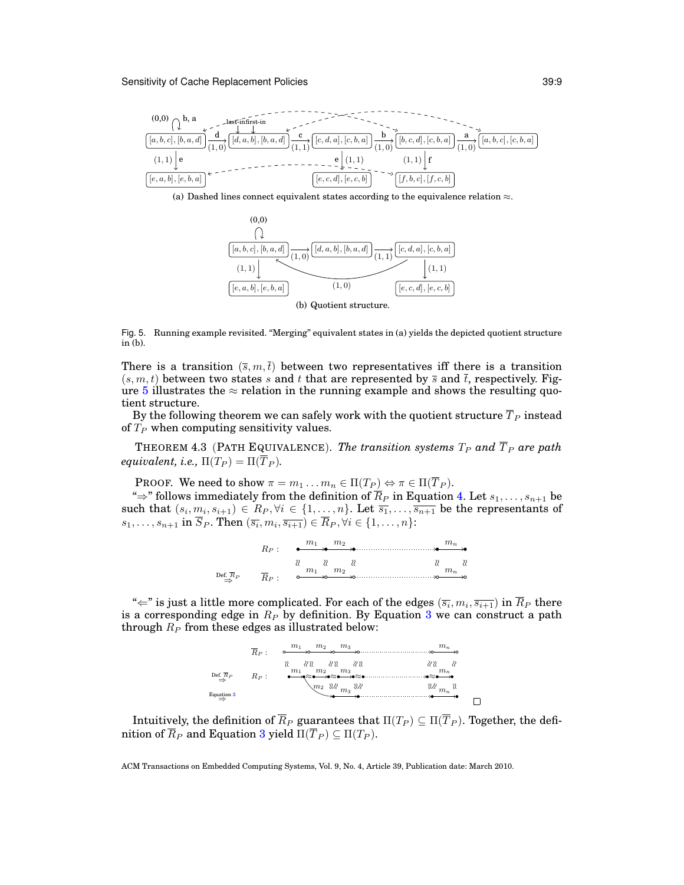

(a) Dashed lines connect equivalent states according to the equivalence relation  $\approx$ .



<span id="page-8-0"></span>Fig. 5. Running example revisited. "Merging" equivalent states in (a) yields the depicted quotient structure in (b).

There is a transition  $(\bar{s}, m, \bar{t})$  between two representatives iff there is a transition  $(s, m, t)$  between two states s and t that are represented by  $\overline{s}$  and  $\overline{t}$ , respectively. Fig-ure [5](#page-8-0) illustrates the  $\approx$  relation in the running example and shows the resulting quotient structure.

By the following theorem we can safely work with the quotient structure  $\overline{T}_P$  instead of  $T_P$  when computing sensitivity values.

THEOREM 4.3 (PATH EQUIVALENCE). *The transition systems*  $T_P$  and  $\overline{T}_P$  are path *equivalent, i.e.,*  $\Pi(T_P) = \Pi(\overline{T}_P)$ *.* 

**PROOF.** We need to show  $\pi = m_1 \dots m_n \in \Pi(T_P) \Leftrightarrow \pi \in \Pi(\overline{T}_P)$ .

"⇒" follows immediately from the definition of  $\overline{R}_P$  in Equation [4.](#page-7-4) Let  $s_1, \ldots, s_{n+1}$  be such that  $(s_i, m_i, s_{i+1}) \in R_P, \forall i \in \{1, \ldots, n\}$ . Let  $\overline{s_1}, \ldots, \overline{s_{n+1}}$  be the representants of  $s_1, \ldots, s_{n+1}$  in  $\overline{S}_P$ . Then  $(\overline{s_i}, m_i, \overline{s_{i+1}}) \in \overline{R}_P, \forall i \in \{1, \ldots, n\}$ :

|                       | $R_P$ : | m <sub>1</sub> | m <sub>2</sub>                                                   | $\bullet$ $\rightarrow$ $\bullet$ $\rightarrow$ $\bullet$ $\rightarrow$ $\bullet$ $\rightarrow$ $\rightarrow$ | $m_n$ |
|-----------------------|---------|----------------|------------------------------------------------------------------|---------------------------------------------------------------------------------------------------------------|-------|
|                       |         |                |                                                                  |                                                                                                               |       |
|                       |         |                | $\mathbb{R}$ $\mathbb{R}$ $\mathbb{R}$ $\mathbb{R}$ $\mathbb{R}$ |                                                                                                               |       |
| Def. $\overline{R}_P$ |         |                | $m_2$<br>$m_1$                                                   |                                                                                                               | $m_n$ |

" $\Leftarrow$ " is just a little more complicated. For each of the edges  $(\overline{s_i},m_i,\overline{s_{i+1}})$  in  $\overline{R}_P$  there is a corresponding edge in  $R_P$  by definition. By Equation [3](#page-7-3) we can construct a path through  $R_P$  from these edges as illustrated below:

|                       | $\overline{R}_P$ : | $m_3$<br>m <sub>1</sub><br>$m_2$<br>$\rightarrow$ 0 $\rightarrow$ 0 $\rightarrow$ 0 $\rightarrow$ 0 $\rightarrow$ 0 $\rightarrow$ 0 $\rightarrow$ 0 $\rightarrow$ 0 $\rightarrow$ 0 $\rightarrow$ 0 $\rightarrow$ 0 $\rightarrow$ 0 $\rightarrow$ 0 $\rightarrow$ 0 $\rightarrow$ 0 $\rightarrow$ 0 $\rightarrow$ 0 $\rightarrow$ 0 $\rightarrow$ 0 $\rightarrow$ 0 $\rightarrow$ 0 $\rightarrow$ 0 $\rightarrow$ 0 $\rightarrow$ 0 $\rightarrow$ 0 $\rightarrow$ 0 $\rightarrow$ 0 $\rightarrow$ 0 $\rightarrow$ 0 $\rightarrow$ 0 $\rightarrow$ 0 $\rightarrow$ | $m_n$                     |
|-----------------------|--------------------|-------------------------------------------------------------------------------------------------------------------------------------------------------------------------------------------------------------------------------------------------------------------------------------------------------------------------------------------------------------------------------------------------------------------------------------------------------------------------------------------------------------------------------------------------------------------|---------------------------|
|                       |                    | u wa wa wa                                                                                                                                                                                                                                                                                                                                                                                                                                                                                                                                                        |                           |
| Def. $\overline{R}_P$ | $R_P$ :            | $\stackrel{m_1}{\longleftarrow}$ $\stackrel{m_2}{\leadsto}$ $\stackrel{m_3}{\longleftarrow}$ $\stackrel{m_3}{\longleftarrow}$                                                                                                                                                                                                                                                                                                                                                                                                                                     | $m_n$<br>≫≈⊷⊶             |
|                       |                    | $\begin{matrix}m_2&m_3&m_3\end{matrix}$                                                                                                                                                                                                                                                                                                                                                                                                                                                                                                                           | $\frac{d^2 m_n}{\bullet}$ |
| Equation 3            |                    |                                                                                                                                                                                                                                                                                                                                                                                                                                                                                                                                                                   |                           |

Intuitively, the definition of  $\overline{R}_P$  guarantees that  $\Pi(T_P) \subseteq \Pi(\overline{T}_P)$ . Together, the definition of  $\overline{R}_P$  and Equation [3](#page-7-3) yield  $\Pi(\overline{T}_P) \subseteq \Pi(T_P)$ .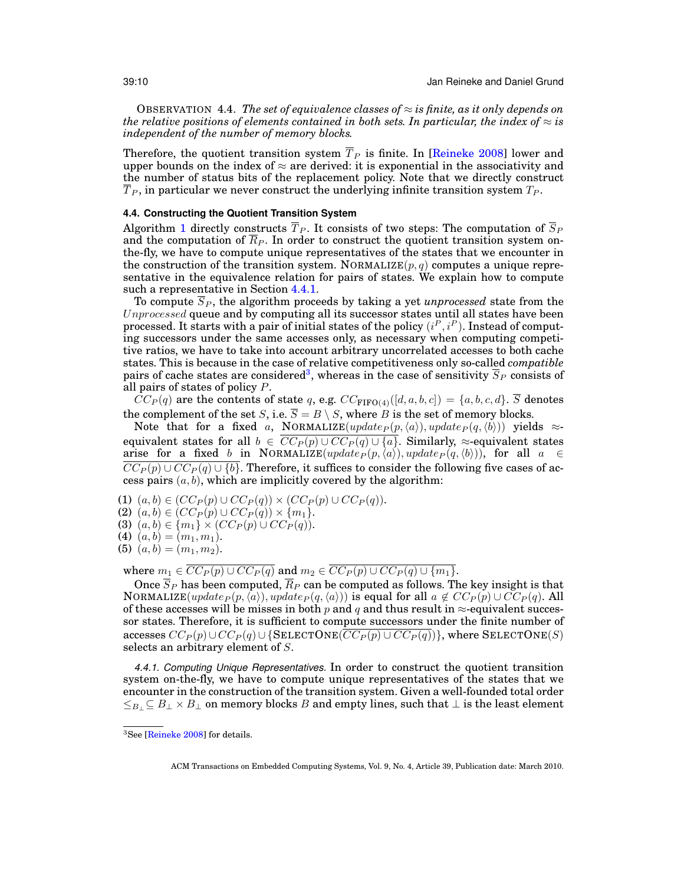OBSERVATION 4.4. *The set of equivalence classes of*  $\approx$  *is finite, as it only depends on the relative positions of elements contained in both sets. In particular, the index of*  $\approx$  *is independent of the number of memory blocks.*

Therefore, the quotient transition system  $\overline{T}_P$  is finite. In [\[Reineke 2008\]](#page-16-12) lower and upper bounds on the index of  $\approx$  are derived: it is exponential in the associativity and the number of status bits of the replacement policy. Note that we directly construct  $\overline{T}_P$ , in particular we never construct the underlying infinite transition system  $T_P$ .

# **4.4. Constructing the Quotient Transition System**

Algorithm [1](#page-10-0) directly constructs  $\overline{T}_P$ . It consists of two steps: The computation of  $\overline{S}_P$ and the computation of  $\overline{R}_P$ . In order to construct the quotient transition system onthe-fly, we have to compute unique representatives of the states that we encounter in the construction of the transition system. NORMALIZE $(p, q)$  computes a unique representative in the equivalence relation for pairs of states. We explain how to compute such a representative in Section [4.4.1.](#page-9-0)

To compute  $\overline{S}_P$ , the algorithm proceeds by taking a yet *unprocessed* state from the Unprocessed queue and by computing all its successor states until all states have been processed. It starts with a pair of initial states of the policy  $(i^P, i^P)$ . Instead of computing successors under the same accesses only, as necessary when computing competitive ratios, we have to take into account arbitrary uncorrelated accesses to both cache states. This is because in the case of relative competitiveness only so-called *compatible* pairs of cache states are considered<sup>[3](#page-9-1)</sup>, whereas in the case of sensitivity  $\overline{S}_P$  consists of all pairs of states of policy P.

 $CC_P(q)$  are the contents of state q, e.g.  $CC_{\text{FIFO}(4)}([d, a, b, c]) = \{a, b, c, d\}$ .  $\overline{S}$  denotes the complement of the set S, i.e.  $\overline{S} = B \setminus S$ , where B is the set of memory blocks.

Note that for a fixed a, NORMALIZE(update  $p(p, \langle a \rangle)$ , update  $p(q, \langle b \rangle)$ ) yields ≈equivalent states for all  $b \in \overline{CC_P(p) \cup CC_P(q) \cup \{a\}}$ . Similarly,  $\approx$ -equivalent states arise for a fixed b in NORMALIZE(update<sub>P</sub>(p,\a)), update<sub>P</sub>(q,\b))), for all a  $\in$  $CC_P(p) \cup CC_P(q) \cup \{b\}$ . Therefore, it suffices to consider the following five cases of access pairs  $(a, b)$ , which are implicitly covered by the algorithm:

- (1)  $(a, b) \in (CC_P(p) \cup CC_P(q)) \times (CC_P(p) \cup CC_P(q)).$
- (2)  $(a, b) \in (CC_P(p) \cup CC_P(q)) \times \{m_1\}.$
- (3)  $(a, b) \in \{m_1\} \times (CC_P(p) \cup CC_P(q)).$
- (4)  $(a, b) = (m_1, m_1).$
- (5)  $(a, b) = (m_1, m_2)$ .

where  $m_1 \in \overline{CC_P(p) \cup CC_P(q)}$  and  $m_2 \in \overline{CC_P(p) \cup CC_P(q) \cup \{m_1\}}$ .

Once  $\overline{S}_P$  has been computed,  $\overline{R}_P$  can be computed as follows. The key insight is that NORMALIZE(update $P(p,\bar{a})$ ), update $P(q,\bar{a})$ ) is equal for all  $a \notin CC_P(p) \cup CC_P(q)$ . All of these accesses will be misses in both p and q and thus result in  $\approx$ -equivalent successor states. Therefore, it is sufficient to compute successors under the finite number of accesses  $CC_P(p) \cup CC_P(q) \cup \{SELECTONE(\overline{CC_P(p)}) \cup \overline{CC_P(q)}\}$ , where SELECTONE(S) selects an arbitrary element of S.

<span id="page-9-0"></span>*4.4.1. Computing Unique Representatives.* In order to construct the quotient transition system on-the-fly, we have to compute unique representatives of the states that we encounter in the construction of the transition system. Given a well-founded total order  $\leq_{B_\perp} \subseteq B_\perp \times B_\perp$  on memory blocks B and empty lines, such that  $\perp$  is the least element

<span id="page-9-1"></span><sup>&</sup>lt;sup>3</sup>See [\[Reineke 2008\]](#page-16-12) for details.

ACM Transactions on Embedded Computing Systems, Vol. 9, No. 4, Article 39, Publication date: March 2010.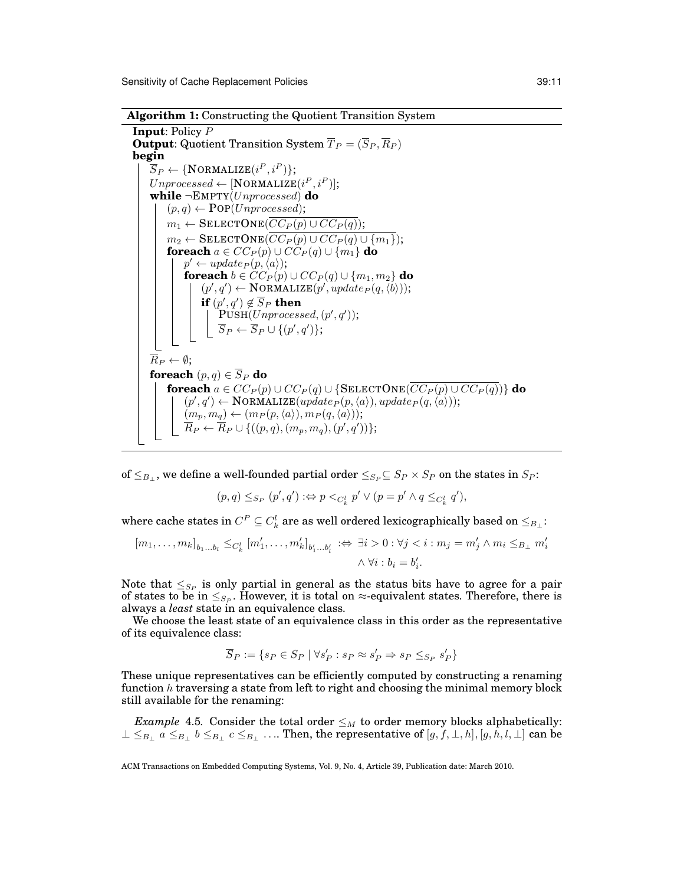**Algorithm 1:** Constructing the Quotient Transition System

**Input**: Policy P **Output:** Quotient Transition System  $\overline{T}_P = (\overline{S}_P, \overline{R}_P)$ **begin**  $\overline{S}_{P} \leftarrow \{ \text{NORMALIZE}(i^{P}, i^{P}) \};$  $Unprocessed \leftarrow [\textbf{NORMALIZE}(i^P, i^P)];$ **while** ¬EMPTY(Unprocessed) **do**  $(p, q) \leftarrow \text{POP}(Unprocessed);$  $m_1 \leftarrow \text{SELECTONE}(\overline{CC_P(p) \cup CC_P(q)});$  $m_2 \leftarrow {\texttt{SELECTONE}}(CC_P(p) \cup CC_P(q) \cup \{m_1\});$ foreach  $a\in CC_P(p)\cup CC_P(q)\cup \{m_1\}$  do  $p' \leftarrow update_P(p,\langle a \rangle);$ **foreach**  $b \in \widetilde{CC}_P(p) \cup \widetilde{CC}_P(q) \cup \{m_1, m_2\}$  **do**  $(p', q') \leftarrow \text{NORMALIZE}(p', update_P(q, \langle \hat{b} \rangle));$  $\textbf{if}~(p',q')\not\in\overline{S}_P \textbf{ then}$  $PUSH(Unprocessed, (p', q'));$  $\overline{S}_P \leftarrow \overline{S}_P \cup \{(p',q')\};$  $\overline{R}_P \leftarrow \emptyset;$ **foreach**  $(p, q) \in \overline{S}_P$  **do**  $\textbf{for each}\;a\in CC_P(p)\cup CC_P(q)\cup \{\textbf{SELECTONE}(CC_P(p)\cup CC_P(q))\}\;\textbf{do}$  $(p', q') \leftarrow \text{NORMALIZE}(update_P(p, \langle a \rangle), update_P(q, \langle a \rangle));$  $(m_p, m_q) \leftarrow (m_P(p, \langle a \rangle), m_P(q, \langle a \rangle));$  $\overline{R}_P \leftarrow \overline{R}_P \cup \{((p,q),(m_p,m_q),(p',q'))\};$ 

<span id="page-10-0"></span>of  $\leq_{B_\perp}$ , we define a well-founded partial order  $\leq_{S_P} \subseteq S_P \times S_P$  on the states in  $S_P$ :

$$
(p,q)\leq_{S_P}(p',q'):\Leftrightarrow p<_{C_k^l}p'\vee(p=p'\wedge q\leq_{C_k^l}q'),
$$

where cache states in  $C^P \subseteq C^l_k$  are as well ordered lexicographically based on  $\leq_{B_\pm}$ :

$$
[m_1, \ldots, m_k]_{b_1 \ldots b_l} \leq_{C_k^l} [m'_1, \ldots, m'_k]_{b'_1 \ldots b'_l} \; :\Leftrightarrow \; \exists i > 0 : \forall j < i : m_j = m'_j \land m_i \leq_{B_\perp} m'_i
$$
  

$$
\land \forall i : b_i = b'_i.
$$

Note that  $\leq_{S_P}$  is only partial in general as the status bits have to agree for a pair of states to be in  $\leq_{S_P}$ . However, it is total on  $\approx$ -equivalent states. Therefore, there is always a *least* state in an equivalence class.

We choose the least state of an equivalence class in this order as the representative of its equivalence class:

$$
\overline{S}_P:=\{s_P\in S_P\mid \forall s_P': s_P\approx s_P'\Rightarrow s_P\leq_{S_P} s_P'\}
$$

These unique representatives can be efficiently computed by constructing a renaming function  $h$  traversing a state from left to right and choosing the minimal memory block still available for the renaming:

*Example* 4.5. Consider the total order  $\leq_M$  to order memory blocks alphabetically:  $\perp \leq_{B_\perp} a \leq_{B_\perp} b \leq_{B_\perp} c \leq_{B_\perp} \ldots$  Then, the representative of  $[g, f, \perp, h], [g, h, l, \perp]$  can be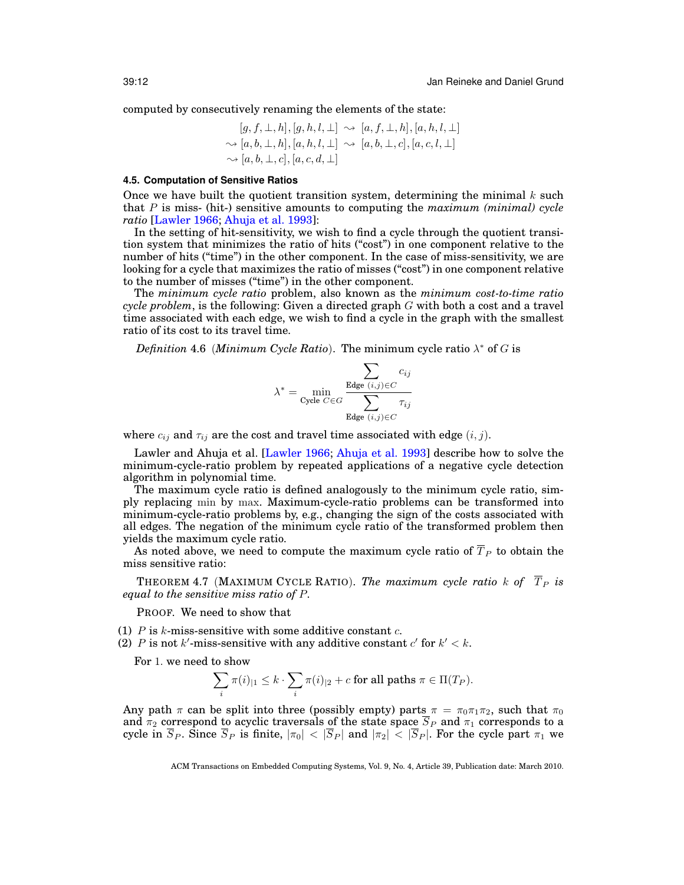computed by consecutively renaming the elements of the state:

$$
[g, f, \perp, h], [g, h, l, \perp] \rightsquigarrow [a, f, \perp, h], [a, h, l, \perp]
$$

$$
\rightsquigarrow [a, b, \perp, h], [a, h, l, \perp] \rightsquigarrow [a, b, \perp, c], [a, c, l, \perp]
$$

$$
\rightsquigarrow [a, b, \perp, c], [a, c, d, \perp]
$$

# **4.5. Computation of Sensitive Ratios**

Once we have built the quotient transition system, determining the minimal  $k$  such that P is miss- (hit-) sensitive amounts to computing the *maximum (minimal) cycle ratio* [\[Lawler 1966;](#page-16-13) [Ahuja et al. 1993\]](#page-16-14):

In the setting of hit-sensitivity, we wish to find a cycle through the quotient transition system that minimizes the ratio of hits ("cost") in one component relative to the number of hits ("time") in the other component. In the case of miss-sensitivity, we are looking for a cycle that maximizes the ratio of misses ("cost") in one component relative to the number of misses ("time") in the other component.

The *minimum cycle ratio* problem, also known as the *minimum cost-to-time ratio cycle problem*, is the following: Given a directed graph G with both a cost and a travel time associated with each edge, we wish to find a cycle in the graph with the smallest ratio of its cost to its travel time.

Definition 4.6 (Minimum Cycle Ratio). The minimum cycle ratio  $\lambda^*$  of G is

$$
\lambda^* = \min_{\text{Cycle } C \in G} \frac{\sum_{\text{Edge } (i,j) \in C} c_{ij}}{\sum_{\text{Edge } (i,j) \in C} \tau_{ij}}
$$

where  $c_{ij}$  and  $\tau_{ij}$  are the cost and travel time associated with edge  $(i, j)$ .

Lawler and Ahuja et al. [\[Lawler 1966;](#page-16-13) [Ahuja et al. 1993\]](#page-16-14) describe how to solve the minimum-cycle-ratio problem by repeated applications of a negative cycle detection algorithm in polynomial time.

The maximum cycle ratio is defined analogously to the minimum cycle ratio, simply replacing min by max. Maximum-cycle-ratio problems can be transformed into minimum-cycle-ratio problems by, e.g., changing the sign of the costs associated with all edges. The negation of the minimum cycle ratio of the transformed problem then yields the maximum cycle ratio.

As noted above, we need to compute the maximum cycle ratio of  $\overline{T}_P$  to obtain the miss sensitive ratio:

THEOREM 4.7 (MAXIMUM CYCLE RATIO). *The maximum cycle ratio* k of  $\overline{T}_P$  is *equal to the sensitive miss ratio of* P*.*

PROOF. We need to show that

- (1)  $P$  is k-miss-sensitive with some additive constant  $c$ .
- (2) P is not k'-miss-sensitive with any additive constant  $c'$  for  $k' < k$ .

For 1. we need to show

$$
\sum_i \pi(i)_{|1} \leq k \cdot \sum_i \pi(i)_{|2} + c \text{ for all paths } \pi \in \Pi(T_P).
$$

Any path  $\pi$  can be split into three (possibly empty) parts  $\pi = \pi_0 \pi_1 \pi_2$ , such that  $\pi_0$ and  $\pi_2$  correspond to acyclic traversals of the state space  $S_P$  and  $\pi_1$  corresponds to a cycle in  $\overline{S}_P$ . Since  $\overline{S}_P$  is finite,  $|\pi_0| < |\overline{S}_P|$  and  $|\pi_2| < |\overline{S}_P|$ . For the cycle part  $\pi_1$  we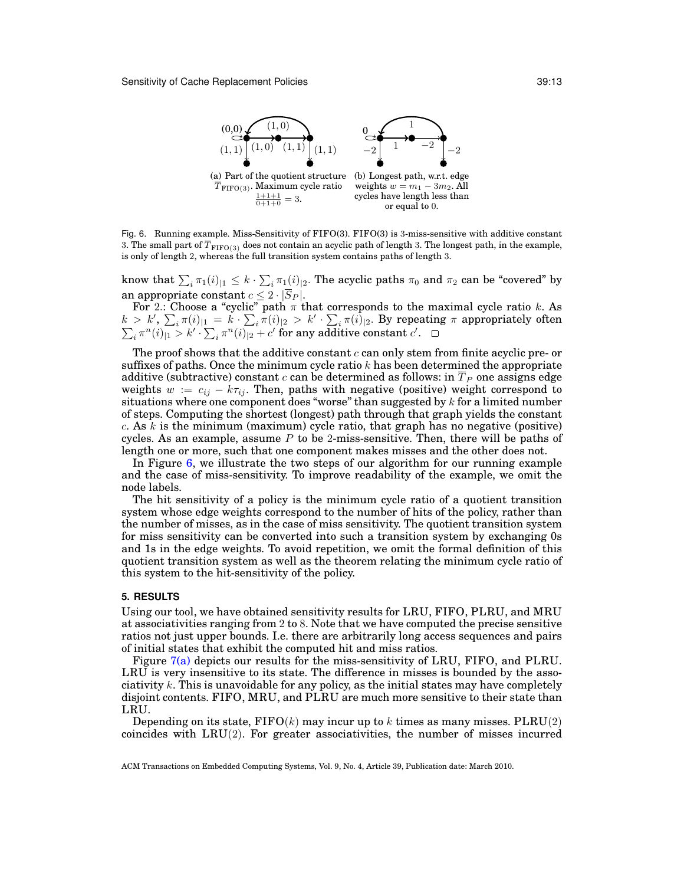

<span id="page-12-1"></span>Fig. 6. Running example. Miss-Sensitivity of FIFO(3). FIFO(3) is 3-miss-sensitive with additive constant 3. The small part of  $\overline{T}_{\rm FIFO(3)}$  does not contain an acyclic path of length 3. The longest path, in the example, is only of length 2, whereas the full transition system contains paths of length 3.

know that  $\sum_i \pi_1(i)_{|1} \leq k \cdot \sum_i \pi_1(i)_{|2}.$  The acyclic paths  $\pi_0$  and  $\pi_2$  can be "covered" by Allow that  $\sum_i \binom{n_1(i)}{1} \geq \frac{\kappa}{2} \cdot \frac{\sum_i \binom{n_1(i)}{2}}{1}$ <br>an appropriate constant  $c \leq 2 \cdot |\overline{S}_P|$ .

For 2.: Choose a "cyclic" path  $\pi$  that corresponds to the maximal cycle ratio k. As  $k > k', \sum_i \pi(i)_{|1} = k \cdot \sum_i \pi(i)_{|2} > k' \cdot \sum_i \pi(i)_{|2}.$  By repeating  $\pi$  appropriately often  $\sum_i \pi^n(i)_{|1} > k' \cdot \sum_i \pi^n(i)_{|2} + c'$  for any additive constant  $c'.$   $\Box$ 

The proof shows that the additive constant  $c$  can only stem from finite acyclic pre- or suffixes of paths. Once the minimum cycle ratio  $k$  has been determined the appropriate additive (subtractive) constant  $c$  can be determined as follows: in  $T_{\it P}$  one assigns edge weights  $w := c_{ij} - k\tau_{ij}$ . Then, paths with negative (positive) weight correspond to situations where one component does "worse" than suggested by  $k$  for a limited number of steps. Computing the shortest (longest) path through that graph yields the constant c. As  $k$  is the minimum (maximum) cycle ratio, that graph has no negative (positive) cycles. As an example, assume  $P$  to be 2-miss-sensitive. Then, there will be paths of length one or more, such that one component makes misses and the other does not.

In Figure [6,](#page-12-1) we illustrate the two steps of our algorithm for our running example and the case of miss-sensitivity. To improve readability of the example, we omit the node labels.

The hit sensitivity of a policy is the minimum cycle ratio of a quotient transition system whose edge weights correspond to the number of hits of the policy, rather than the number of misses, as in the case of miss sensitivity. The quotient transition system for miss sensitivity can be converted into such a transition system by exchanging 0s and 1s in the edge weights. To avoid repetition, we omit the formal definition of this quotient transition system as well as the theorem relating the minimum cycle ratio of this system to the hit-sensitivity of the policy.

# <span id="page-12-0"></span>**5. RESULTS**

Using our tool, we have obtained sensitivity results for LRU, FIFO, PLRU, and MRU at associativities ranging from 2 to 8. Note that we have computed the precise sensitive ratios not just upper bounds. I.e. there are arbitrarily long access sequences and pairs of initial states that exhibit the computed hit and miss ratios.

Figure  $7(a)$  depicts our results for the miss-sensitivity of LRU, FIFO, and PLRU. LRU is very insensitive to its state. The difference in misses is bounded by the associativity  $k$ . This is unavoidable for any policy, as the initial states may have completely disjoint contents. FIFO, MRU, and PLRU are much more sensitive to their state than LRU.

Depending on its state,  $\text{FIFO}(k)$  may incur up to k times as many misses.  $\text{PLRU}(2)$ coincides with  $LRU(2)$ . For greater associativities, the number of misses incurred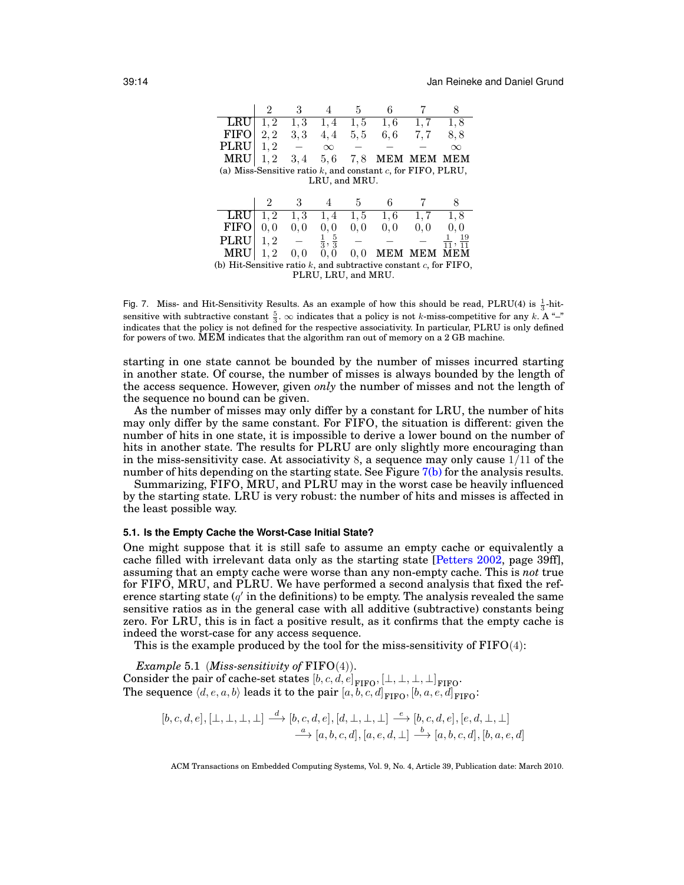<span id="page-13-0"></span>

|                                                                   | 2             | 3                | 4                                 | 5                | 6    |             |            |
|-------------------------------------------------------------------|---------------|------------------|-----------------------------------|------------------|------|-------------|------------|
| LRU                                                               | 1, 2          | $1,\overline{3}$ | 1,4                               | $1,\overline{5}$ | 1,6  | 1, 7        | 1,8        |
| <b>FIFO</b>                                                       | 2, 2          | 3,3              | 4,4                               | 5, 5             | 6,6  | 7,7         | 8,8        |
| PLRU                                                              | 1.2           |                  | $\infty$                          |                  |      |             | $\infty$   |
| $\operatorname{MRU}$                                              | 1.2           | 3.4              | 5,6                               | 7,8              |      | MEM MEM MEM |            |
| (a) Miss-Sensitive ratio $k$ , and constant $c$ , for FIFO, PLRU, |               |                  |                                   |                  |      |             |            |
|                                                                   |               |                  | LRU, and MRU.                     |                  |      |             |            |
|                                                                   |               |                  |                                   |                  |      |             |            |
|                                                                   | $\mathcal{D}$ | 3                |                                   | 5                | 6    |             | 8          |
|                                                                   |               |                  |                                   |                  |      |             |            |
| LRU                                                               | 1, 2          | 1.3              | 1,4                               | 1.5              | 1,6  | 1, 7        | 1.8        |
| <b>FIFO</b>                                                       | 0,0           | 0, 0             | 0,0                               | 0,0              | 0, 0 | 0,0         | 0.0        |
| PLRU                                                              | 1, 2          |                  |                                   |                  |      |             | 19         |
| <b>MRU</b>                                                        | 1.2           | 0,0              | $\frac{1}{3}, \frac{5}{3}$<br>0,0 | 0,0              |      | MEM MEM     | 11;<br>MEM |

<span id="page-13-1"></span>PLRU, LRU, and MRU.

Fig. 7. Miss- and Hit-Sensitivity Results. As an example of how this should be read, PLRU(4) is  $\frac{1}{3}$ -hitsensitive with subtractive constant  $\frac{5}{3}$ .  $\infty$  indicates that a policy is not k-miss-competitive for any k. A "-" indicates that the policy is not defined for the respective associativity. In particular, PLRU is only defined for powers of two. MEM indicates that the algorithm ran out of memory on a 2 GB machine.

starting in one state cannot be bounded by the number of misses incurred starting in another state. Of course, the number of misses is always bounded by the length of the access sequence. However, given *only* the number of misses and not the length of the sequence no bound can be given.

As the number of misses may only differ by a constant for LRU, the number of hits may only differ by the same constant. For FIFO, the situation is different: given the number of hits in one state, it is impossible to derive a lower bound on the number of hits in another state. The results for PLRU are only slightly more encouraging than in the miss-sensitivity case. At associativity  $8$ , a sequence may only cause  $1/11$  of the number of hits depending on the starting state. See Figure [7\(b\)](#page-13-1) for the analysis results.

Summarizing, FIFO, MRU, and PLRU may in the worst case be heavily influenced by the starting state. LRU is very robust: the number of hits and misses is affected in the least possible way.

## **5.1. Is the Empty Cache the Worst-Case Initial State?**

One might suppose that it is still safe to assume an empty cache or equivalently a cache filled with irrelevant data only as the starting state [\[Petters 2002,](#page-16-3) page 39ff], assuming that an empty cache were worse than any non-empty cache. This is *not* true for FIFO, MRU, and PLRU. We have performed a second analysis that fixed the reference starting state  $(q'$  in the definitions) to be empty. The analysis revealed the same sensitive ratios as in the general case with all additive (subtractive) constants being zero. For LRU, this is in fact a positive result, as it confirms that the empty cache is indeed the worst-case for any access sequence.

This is the example produced by the tool for the miss-sensitivity of  $\text{FIFO}(4)$ :

*Example* 5.1 (*Miss-sensitivity of* FIFO(4)).  $\textbf{Consider the pair of cache-set states } [b, c, d, e]_{\textbf{FIFO}}, [\bot, \bot, \bot, \bot]_{\textbf{FIFO}}.$ The sequence  $\langle d, e, a, b \rangle$  leads it to the pair  $[a, b, c, d]_{\rm{FIFO}}, [b, a, e, d]_{\rm{FIFO}}.$ 

$$
[b, c, d, e], [\bot, \bot, \bot, \bot] \stackrel{d}{\longrightarrow} [b, c, d, e], [d, \bot, \bot, \bot] \stackrel{e}{\longrightarrow} [b, c, d, e], [e, d, \bot, \bot]
$$
  

$$
\stackrel{a}{\longrightarrow} [a, b, c, d], [a, e, d, \bot] \stackrel{b}{\longrightarrow} [a, b, c, d], [b, a, e, d]
$$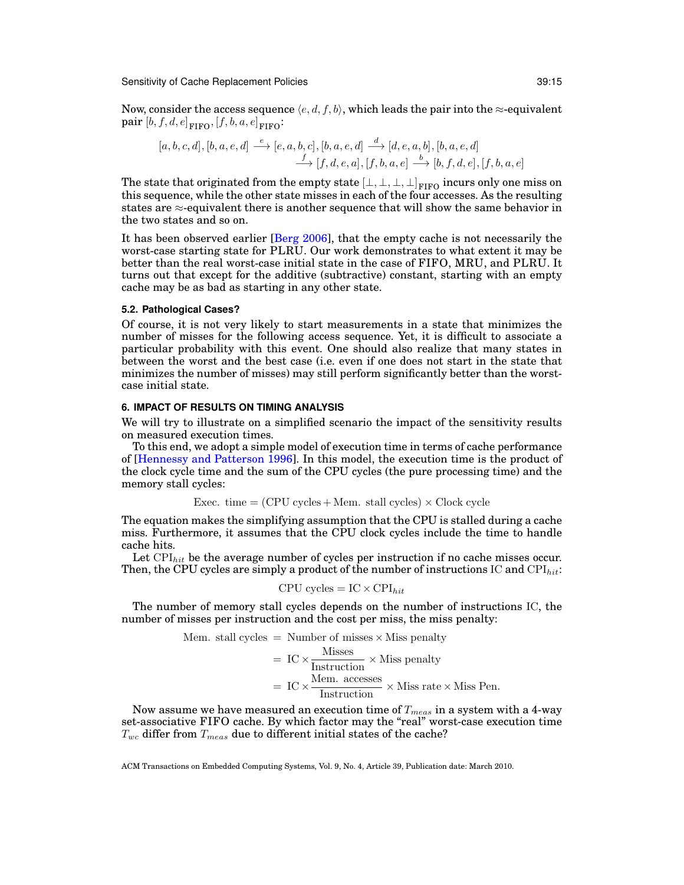Now, consider the access sequence  $\langle e, d, f, b \rangle$ , which leads the pair into the ≈-equivalent pair  $[b, f, d, e]_{\text{FIFO}}, [f, b, a, e]_{\text{FIFO}}$ :

$$
[a, b, c, d], [b, a, e, d] \xrightarrow{\ e\ } [e, a, b, c], [b, a, e, d] \xrightarrow{\ d\ } [d, e, a, b], [b, a, e, d]
$$
  

$$
\xrightarrow{f\ } [f, d, e, a], [f, b, a, e] \xrightarrow{\ b\ } [b, f, d, e], [f, b, a, e]
$$

The state that originated from the empty state  $[\bot,\bot,\bot,\bot]_{\rm{FIFO}}$  incurs only one miss on this sequence, while the other state misses in each of the four accesses. As the resulting states are  $\approx$ -equivalent there is another sequence that will show the same behavior in the two states and so on.

It has been observed earlier [\[Berg 2006\]](#page-16-2), that the empty cache is not necessarily the worst-case starting state for PLRU. Our work demonstrates to what extent it may be better than the real worst-case initial state in the case of FIFO, MRU, and PLRU. It turns out that except for the additive (subtractive) constant, starting with an empty cache may be as bad as starting in any other state.

#### **5.2. Pathological Cases?**

Of course, it is not very likely to start measurements in a state that minimizes the number of misses for the following access sequence. Yet, it is difficult to associate a particular probability with this event. One should also realize that many states in between the worst and the best case (i.e. even if one does not start in the state that minimizes the number of misses) may still perform significantly better than the worstcase initial state.

### <span id="page-14-0"></span>**6. IMPACT OF RESULTS ON TIMING ANALYSIS**

We will try to illustrate on a simplified scenario the impact of the sensitivity results on measured execution times.

To this end, we adopt a simple model of execution time in terms of cache performance of [\[Hennessy and Patterson 1996\]](#page-16-15). In this model, the execution time is the product of the clock cycle time and the sum of the CPU cycles (the pure processing time) and the memory stall cycles:

$$
Exec. time = (CPU cycles + Mem. stall cycles) \times Clock cycle
$$

The equation makes the simplifying assumption that the CPU is stalled during a cache miss. Furthermore, it assumes that the CPU clock cycles include the time to handle cache hits.

Let  $CPI<sub>hit</sub>$  be the average number of cycles per instruction if no cache misses occur. Then, the CPU cycles are simply a product of the number of instructions IC and  $\text{CPI}_{hit}$ :

$$
CPU cycles = IC \times CPL_{hit}
$$

The number of memory stall cycles depends on the number of instructions IC, the number of misses per instruction and the cost per miss, the miss penalty:

Mem. stall cycles = Number of misses × Miss penalty

\n
$$
= IC \times \frac{\text{Misses}}{\text{Instruction}} \times \text{Miss penalty}
$$
\n
$$
= IC \times \frac{\text{Mem. accesses}}{\text{Instruction}} \times \text{Miss rate} \times \text{Miss Pen.}
$$

Now assume we have measured an execution time of  $T_{meas}$  in a system with a 4-way set-associative FIFO cache. By which factor may the "real" worst-case execution time  $T_{wc}$  differ from  $T_{meas}$  due to different initial states of the cache?

ACM Transactions on Embedded Computing Systems, Vol. 9, No. 4, Article 39, Publication date: March 2010.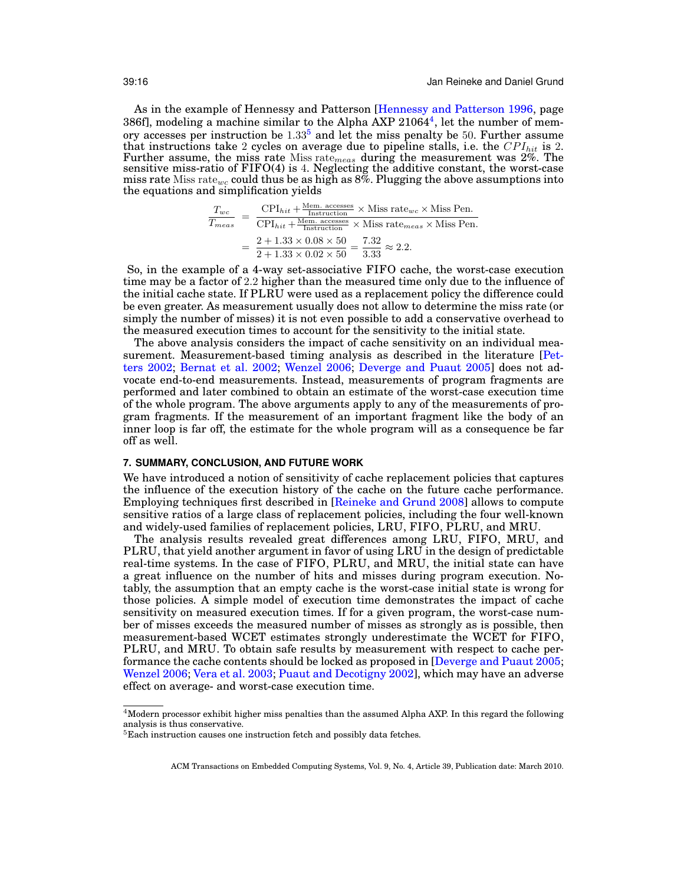As in the example of Hennessy and Patterson [\[Hennessy and Patterson 1996,](#page-16-15) page 386f], modeling a machine similar to the Alpha AXP 2106[4](#page-15-1)<sup>4</sup>, let the number of memory accesses per instruction be  $1.33<sup>5</sup>$  $1.33<sup>5</sup>$  $1.33<sup>5</sup>$  and let the miss penalty be 50. Further assume that instructions take 2 cycles on average due to pipeline stalls, i.e. the  $CPI_{hit}$  is 2. Further assume, the miss rate Miss rate<sub>meas</sub> during the measurement was  $2\%$ . The sensitive miss-ratio of FIFO(4) is 4. Neglecting the additive constant, the worst-case miss rate Miss rate<sub>wc</sub> could thus be as high as  $8\%$ . Plugging the above assumptions into the equations and simplification yields

$$
\frac{T_{wc}}{T_{meas}} = \frac{\text{CPI}_{hit} + \frac{\text{Mem. accesses}}{\text{Instruction}} \times \text{Miss rate}_{wc} \times \text{Miss Pen.}}{\text{CPI}_{hit} + \frac{\text{Mem. access}}{\text{Instruction}} \times \text{Miss rate}_{meas} \times \text{Miss Pen.}}
$$
\n
$$
= \frac{2 + 1.33 \times 0.08 \times 50}{2 + 1.33 \times 0.02 \times 50} = \frac{7.32}{3.33} \approx 2.2.
$$

So, in the example of a 4-way set-associative FIFO cache, the worst-case execution time may be a factor of 2.2 higher than the measured time only due to the influence of the initial cache state. If PLRU were used as a replacement policy the difference could be even greater. As measurement usually does not allow to determine the miss rate (or simply the number of misses) it is not even possible to add a conservative overhead to the measured execution times to account for the sensitivity to the initial state.

The above analysis considers the impact of cache sensitivity on an individual measurement. Measurement-based timing analysis as described in the literature [\[Pet](#page-16-3)[ters 2002;](#page-16-3) [Bernat et al. 2002;](#page-16-0) [Wenzel 2006;](#page-17-2) [Deverge and Puaut 2005\]](#page-16-5) does not advocate end-to-end measurements. Instead, measurements of program fragments are performed and later combined to obtain an estimate of the worst-case execution time of the whole program. The above arguments apply to any of the measurements of program fragments. If the measurement of an important fragment like the body of an inner loop is far off, the estimate for the whole program will as a consequence be far off as well.

#### <span id="page-15-0"></span>**7. SUMMARY, CONCLUSION, AND FUTURE WORK**

We have introduced a notion of sensitivity of cache replacement policies that captures the influence of the execution history of the cache on the future cache performance. Employing techniques first described in [\[Reineke and Grund 2008\]](#page-16-7) allows to compute sensitive ratios of a large class of replacement policies, including the four well-known and widely-used families of replacement policies, LRU, FIFO, PLRU, and MRU.

The analysis results revealed great differences among LRU, FIFO, MRU, and PLRU, that yield another argument in favor of using LRU in the design of predictable real-time systems. In the case of FIFO, PLRU, and MRU, the initial state can have a great influence on the number of hits and misses during program execution. Notably, the assumption that an empty cache is the worst-case initial state is wrong for those policies. A simple model of execution time demonstrates the impact of cache sensitivity on measured execution times. If for a given program, the worst-case number of misses exceeds the measured number of misses as strongly as is possible, then measurement-based WCET estimates strongly underestimate the WCET for FIFO, PLRU, and MRU. To obtain safe results by measurement with respect to cache performance the cache contents should be locked as proposed in [\[Deverge and Puaut 2005;](#page-16-5) [Wenzel 2006;](#page-17-2) [Vera et al. 2003;](#page-17-5) [Puaut and Decotigny 2002\]](#page-16-6), which may have an adverse effect on average- and worst-case execution time.

<span id="page-15-1"></span><sup>4</sup>Modern processor exhibit higher miss penalties than the assumed Alpha AXP. In this regard the following analysis is thus conservative.

<span id="page-15-2"></span><sup>&</sup>lt;sup>5</sup>Each instruction causes one instruction fetch and possibly data fetches.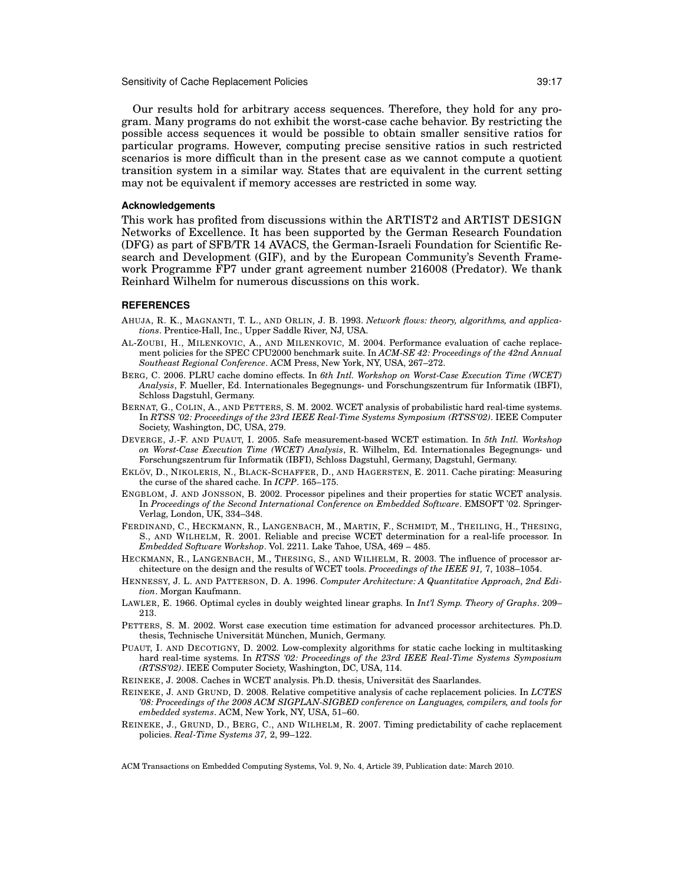Our results hold for arbitrary access sequences. Therefore, they hold for any program. Many programs do not exhibit the worst-case cache behavior. By restricting the possible access sequences it would be possible to obtain smaller sensitive ratios for particular programs. However, computing precise sensitive ratios in such restricted scenarios is more difficult than in the present case as we cannot compute a quotient transition system in a similar way. States that are equivalent in the current setting may not be equivalent if memory accesses are restricted in some way.

# **Acknowledgements**

This work has profited from discussions within the ARTIST2 and ARTIST DESIGN Networks of Excellence. It has been supported by the German Research Foundation (DFG) as part of SFB/TR 14 AVACS, the German-Israeli Foundation for Scientific Research and Development (GIF), and by the European Community's Seventh Framework Programme FP7 under grant agreement number 216008 (Predator). We thank Reinhard Wilhelm for numerous discussions on this work.

## **REFERENCES**

- <span id="page-16-14"></span>AHUJA, R. K., MAGNANTI, T. L., AND ORLIN, J. B. 1993. *Network flows: theory, algorithms, and applications*. Prentice-Hall, Inc., Upper Saddle River, NJ, USA.
- <span id="page-16-10"></span>AL-ZOUBI, H., MILENKOVIC, A., AND MILENKOVIC, M. 2004. Performance evaluation of cache replacement policies for the SPEC CPU2000 benchmark suite. In *ACM-SE 42: Proceedings of the 42nd Annual Southeast Regional Conference*. ACM Press, New York, NY, USA, 267–272.
- <span id="page-16-2"></span>BERG, C. 2006. PLRU cache domino effects. In *6th Intl. Workshop on Worst-Case Execution Time (WCET) Analysis*, F. Mueller, Ed. Internationales Begegnungs- und Forschungszentrum fur Informatik (IBFI), ¨ Schloss Dagstuhl, Germany.
- <span id="page-16-0"></span>BERNAT, G., COLIN, A., AND PETTERS, S. M. 2002. WCET analysis of probabilistic hard real-time systems. In *RTSS '02: Proceedings of the 23rd IEEE Real-Time Systems Symposium (RTSS'02)*. IEEE Computer Society, Washington, DC, USA, 279.
- <span id="page-16-5"></span>DEVERGE, J.-F. AND PUAUT, I. 2005. Safe measurement-based WCET estimation. In *5th Intl. Workshop on Worst-Case Execution Time (WCET) Analysis*, R. Wilhelm, Ed. Internationales Begegnungs- und Forschungszentrum fur Informatik (IBFI), Schloss Dagstuhl, Germany, Dagstuhl, Germany. ¨
- <span id="page-16-11"></span>EKLÖV, D., NIKOLERIS, N., BLACK-SCHAFFER, D., AND HAGERSTEN, E. 2011. Cache pirating: Measuring the curse of the shared cache. In *ICPP*. 165–175.
- <span id="page-16-1"></span>ENGBLOM, J. AND JONSSON, B. 2002. Processor pipelines and their properties for static WCET analysis. In *Proceedings of the Second International Conference on Embedded Software*. EMSOFT '02. Springer-Verlag, London, UK, 334–348.
- <span id="page-16-4"></span>FERDINAND, C., HECKMANN, R., LANGENBACH, M., MARTIN, F., SCHMIDT, M., THEILING, H., THESING, S., AND WILHELM, R. 2001. Reliable and precise WCET determination for a real-life processor. In *Embedded Software Workshop*. Vol. 2211. Lake Tahoe, USA, 469 – 485.
- <span id="page-16-8"></span>HECKMANN, R., LANGENBACH, M., THESING, S., AND WILHELM, R. 2003. The influence of processor architecture on the design and the results of WCET tools. *Proceedings of the IEEE 91,* 7, 1038–1054.
- <span id="page-16-15"></span>HENNESSY, J. L. AND PATTERSON, D. A. 1996. *Computer Architecture: A Quantitative Approach, 2nd Edition*. Morgan Kaufmann.
- <span id="page-16-13"></span>LAWLER, E. 1966. Optimal cycles in doubly weighted linear graphs. In *Int'l Symp. Theory of Graphs*. 209– 213.
- <span id="page-16-3"></span>PETTERS, S. M. 2002. Worst case execution time estimation for advanced processor architectures. Ph.D. thesis, Technische Universität München, Munich, Germany.
- <span id="page-16-6"></span>PUAUT, I. AND DECOTIGNY, D. 2002. Low-complexity algorithms for static cache locking in multitasking hard real-time systems. In *RTSS '02: Proceedings of the 23rd IEEE Real-Time Systems Symposium (RTSS'02)*. IEEE Computer Society, Washington, DC, USA, 114.
- <span id="page-16-12"></span>REINEKE, J. 2008. Caches in WCET analysis. Ph.D. thesis, Universitat des Saarlandes. ¨
- <span id="page-16-7"></span>REINEKE, J. AND GRUND, D. 2008. Relative competitive analysis of cache replacement policies. In *LCTES '08: Proceedings of the 2008 ACM SIGPLAN-SIGBED conference on Languages, compilers, and tools for embedded systems*. ACM, New York, NY, USA, 51–60.
- <span id="page-16-9"></span>REINEKE, J., GRUND, D., BERG, C., AND WILHELM, R. 2007. Timing predictability of cache replacement policies. *Real-Time Systems 37,* 2, 99–122.